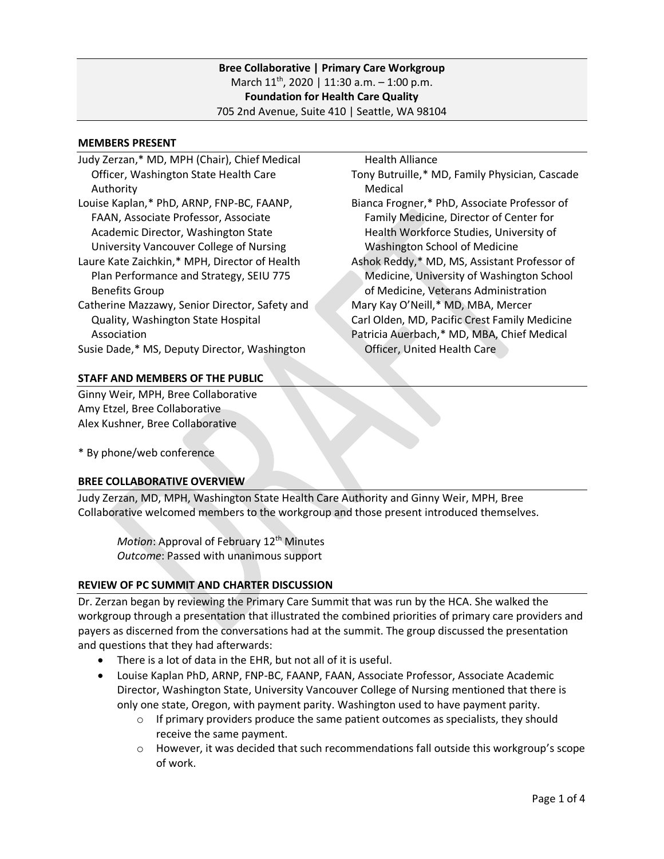## **Bree Collaborative | Primary Care Workgroup** March  $11^{th}$ , 2020 | 11:30 a.m. - 1:00 p.m. **Foundation for Health Care Quality** 705 2nd Avenue, Suite 410 | Seattle, WA 98104

#### **MEMBERS PRESENT**

| Judy Zerzan,* MD, MPH (Chair), Chief Medical   | <b>Health Alliance</b>                         |
|------------------------------------------------|------------------------------------------------|
| Officer, Washington State Health Care          | Tony Butruille,* MD, Family Physician, Cascade |
| Authority                                      | Medical                                        |
| Louise Kaplan,* PhD, ARNP, FNP-BC, FAANP,      | Bianca Frogner,* PhD, Associate Professor of   |
| FAAN, Associate Professor, Associate           | Family Medicine, Director of Center for        |
| Academic Director, Washington State            | Health Workforce Studies, University of        |
| University Vancouver College of Nursing        | Washington School of Medicine                  |
| Laure Kate Zaichkin,* MPH, Director of Health  | Ashok Reddy,* MD, MS, Assistant Professor of   |
| Plan Performance and Strategy, SEIU 775        | Medicine, University of Washington School      |
| <b>Benefits Group</b>                          | of Medicine, Veterans Administration           |
| Catherine Mazzawy, Senior Director, Safety and | Mary Kay O'Neill,* MD, MBA, Mercer             |
| Quality, Washington State Hospital             | Carl Olden, MD, Pacific Crest Family Medicine  |
| Association                                    | Patricia Auerbach,* MD, MBA, Chief Medical     |
| Susie Dade,* MS, Deputy Director, Washington   | Officer, United Health Care                    |
|                                                |                                                |
| <b>STAFF AND MEMBERS OF THE PUBLIC</b>         |                                                |

Ginny Weir, MPH, Bree Collaborative Amy Etzel, Bree Collaborative Alex Kushner, Bree Collaborative

\* By phone/web conference

### **BREE COLLABORATIVE OVERVIEW**

Judy Zerzan, MD, MPH, Washington State Health Care Authority and Ginny Weir, MPH, Bree Collaborative welcomed members to the workgroup and those present introduced themselves.

*Motion*: Approval of February 12<sup>th</sup> Minutes *Outcome*: Passed with unanimous support

### **REVIEW OF PC SUMMIT AND CHARTER DISCUSSION**

Dr. Zerzan began by reviewing the Primary Care Summit that was run by the HCA. She walked the workgroup through a presentation that illustrated the combined priorities of primary care providers and payers as discerned from the conversations had at the summit. The group discussed the presentation and questions that they had afterwards:

- There is a lot of data in the EHR, but not all of it is useful.
- Louise Kaplan PhD, ARNP, FNP-BC, FAANP, FAAN, Associate Professor, Associate Academic Director, Washington State, University Vancouver College of Nursing mentioned that there is only one state, Oregon, with payment parity. Washington used to have payment parity.
	- $\circ$  If primary providers produce the same patient outcomes as specialists, they should receive the same payment.
	- $\circ$  However, it was decided that such recommendations fall outside this workgroup's scope of work.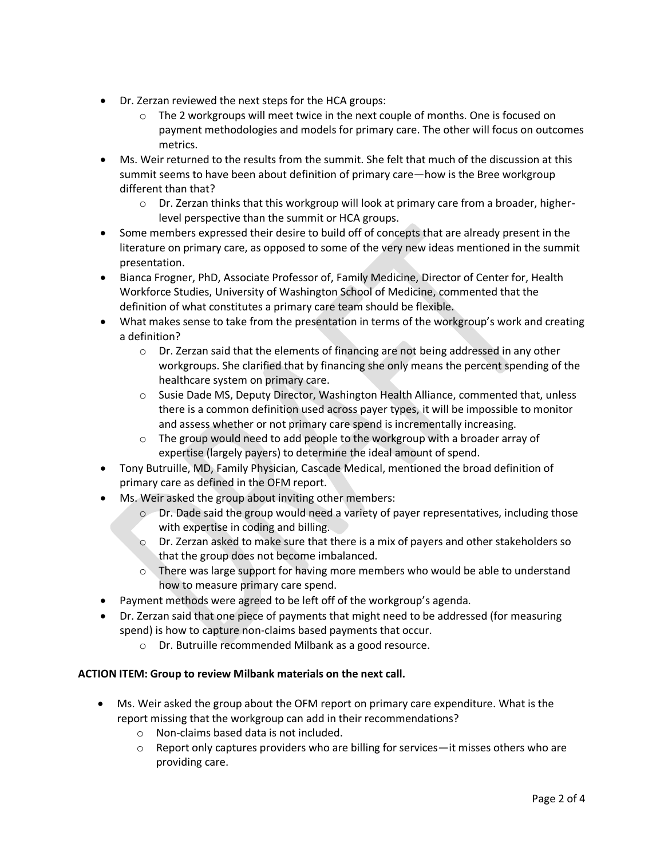- Dr. Zerzan reviewed the next steps for the HCA groups:
	- $\circ$  The 2 workgroups will meet twice in the next couple of months. One is focused on payment methodologies and models for primary care. The other will focus on outcomes metrics.
- Ms. Weir returned to the results from the summit. She felt that much of the discussion at this summit seems to have been about definition of primary care—how is the Bree workgroup different than that?
	- $\circ$  Dr. Zerzan thinks that this workgroup will look at primary care from a broader, higherlevel perspective than the summit or HCA groups.
- Some members expressed their desire to build off of concepts that are already present in the literature on primary care, as opposed to some of the very new ideas mentioned in the summit presentation.
- Bianca Frogner, PhD, Associate Professor of, Family Medicine, Director of Center for, Health Workforce Studies, University of Washington School of Medicine, commented that the definition of what constitutes a primary care team should be flexible.
- What makes sense to take from the presentation in terms of the workgroup's work and creating a definition?
	- $\circ$  Dr. Zerzan said that the elements of financing are not being addressed in any other workgroups. She clarified that by financing she only means the percent spending of the healthcare system on primary care.
	- o Susie Dade MS, Deputy Director, Washington Health Alliance, commented that, unless there is a common definition used across payer types, it will be impossible to monitor and assess whether or not primary care spend is incrementally increasing.
	- o The group would need to add people to the workgroup with a broader array of expertise (largely payers) to determine the ideal amount of spend.
- Tony Butruille, MD, Family Physician, Cascade Medical, mentioned the broad definition of primary care as defined in the OFM report.
- Ms. Weir asked the group about inviting other members:
	- o Dr. Dade said the group would need a variety of payer representatives, including those with expertise in coding and billing.
	- o Dr. Zerzan asked to make sure that there is a mix of payers and other stakeholders so that the group does not become imbalanced.
	- $\circ$  There was large support for having more members who would be able to understand how to measure primary care spend.
- Payment methods were agreed to be left off of the workgroup's agenda.
- Dr. Zerzan said that one piece of payments that might need to be addressed (for measuring spend) is how to capture non-claims based payments that occur.
	- o Dr. Butruille recommended Milbank as a good resource.

# **ACTION ITEM: Group to review Milbank materials on the next call.**

- Ms. Weir asked the group about the OFM report on primary care expenditure. What is the report missing that the workgroup can add in their recommendations?
	- o Non-claims based data is not included.
	- $\circ$  Report only captures providers who are billing for services—it misses others who are providing care.